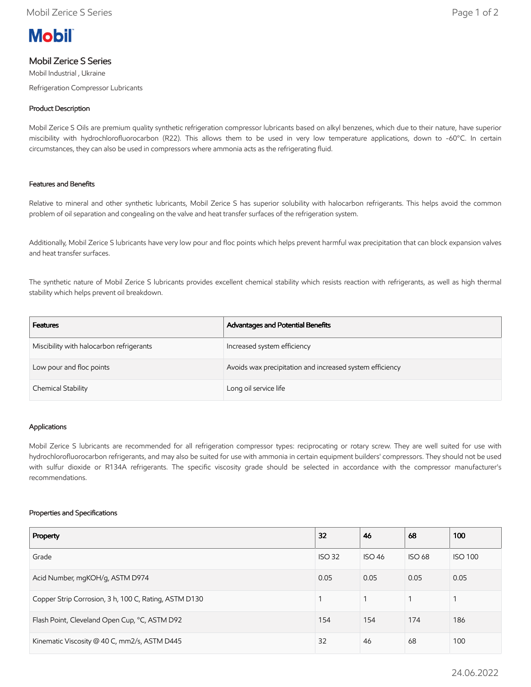

# Mobil Zerice S Series

Mobil Industrial , Ukraine Refrigeration Compressor Lubricants

## Product Description

Mobil Zerice S Oils are premium quality synthetic refrigeration compressor lubricants based on alkyl benzenes, which due to their nature, have superior miscibility with hydrochlorofluorocarbon (R22). This allows them to be used in very low temperature applications, down to -60°C. In certain circumstances, they can also be used in compressors where ammonia acts as the refrigerating fluid.

## Features and Benefits

Relative to mineral and other synthetic lubricants, Mobil Zerice S has superior solubility with halocarbon refrigerants. This helps avoid the common problem of oil separation and congealing on the valve and heat transfer surfaces of the refrigeration system.

Additionally, Mobil Zerice S lubricants have very low pour and floc points which helps prevent harmful wax precipitation that can block expansion valves and heat transfer surfaces.

The synthetic nature of Mobil Zerice S lubricants provides excellent chemical stability which resists reaction with refrigerants, as well as high thermal stability which helps prevent oil breakdown.

| Features                                 | Advantages and Potential Benefits                        |  |
|------------------------------------------|----------------------------------------------------------|--|
| Miscibility with halocarbon refrigerants | Increased system efficiency                              |  |
| Low pour and floc points                 | Avoids wax precipitation and increased system efficiency |  |
| Chemical Stability                       | Long oil service life                                    |  |

## Applications

Mobil Zerice S lubricants are recommended for all refrigeration compressor types: reciprocating or rotary screw. They are well suited for use with hydrochlorofluorocarbon refrigerants, and may also be suited for use with ammonia in certain equipment builders' compressors. They should not be used with sulfur dioxide or R134A refrigerants. The specific viscosity grade should be selected in accordance with the compressor manufacturer's recommendations.

#### Properties and Specifications

| Property                                              | 32            | 46            | 68            | 100            |
|-------------------------------------------------------|---------------|---------------|---------------|----------------|
| Grade                                                 | <b>ISO 32</b> | <b>ISO 46</b> | <b>ISO 68</b> | <b>ISO 100</b> |
| Acid Number, mgKOH/g, ASTM D974<br>0.05               |               | 0.05          | 0.05          | 0.05           |
| Copper Strip Corrosion, 3 h, 100 C, Rating, ASTM D130 |               |               |               |                |
| Flash Point, Cleveland Open Cup, °C, ASTM D92         |               | 154           | 174           | 186            |
| Kinematic Viscosity @ 40 C, mm2/s, ASTM D445          | 32            | 46            | 68            | 100            |